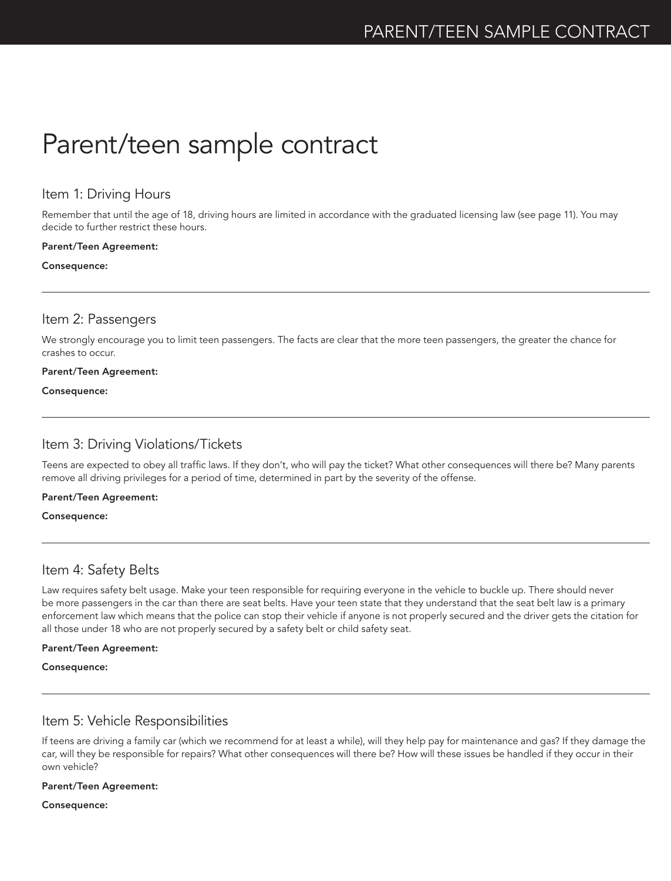# Parent/teen sample contract

## Item 1: Driving Hours

Remember that until the age of 18, driving hours are limited in accordance with the graduated licensing law (see page 11). You may decide to further restrict these hours.

### Parent/Teen Agreement:

### Consequence:

## Item 2: Passengers

We strongly encourage you to limit teen passengers. The facts are clear that the more teen passengers, the greater the chance for crashes to occur.

### Parent/Teen Agreement:

Consequence:

# Item 3: Driving Violations/Tickets

Teens are expected to obey all traffic laws. If they don't, who will pay the ticket? What other consequences will there be? Many parents remove all driving privileges for a period of time, determined in part by the severity of the offense.

### Parent/Teen Agreement:

Consequence:

## Item 4: Safety Belts

Law requires safety belt usage. Make your teen responsible for requiring everyone in the vehicle to buckle up. There should never be more passengers in the car than there are seat belts. Have your teen state that they understand that the seat belt law is a primary enforcement law which means that the police can stop their vehicle if anyone is not properly secured and the driver gets the citation for all those under 18 who are not properly secured by a safety belt or child safety seat.

### Parent/Teen Agreement:

Consequence:

## Item 5: Vehicle Responsibilities

If teens are driving a family car (which we recommend for at least a while), will they help pay for maintenance and gas? If they damage the car, will they be responsible for repairs? What other consequences will there be? How will these issues be handled if they occur in their own vehicle?

### Parent/Teen Agreement:

Consequence: